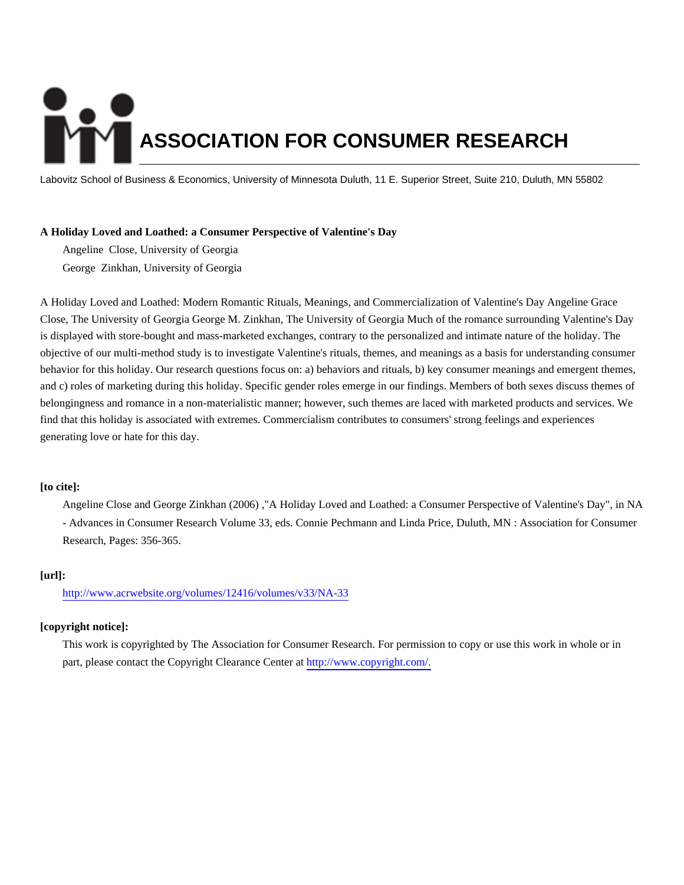# **ASSOCIATION FOR CONSUMER RESEARCH**

Labovitz School of Business & Economics, University of Minnesota Duluth, 11 E. Superior Street, Suite 210, Duluth, MN 55802

# **A Holiday Loved and Loathed: a Consumer Perspective of Valentine's Day**

Angeline Close, University of Georgia George Zinkhan, University of Georgia

A Holiday Loved and Loathed: Modern Romantic Rituals, Meanings, and Commercialization of Valentine's Day Angeline Grace Close, The University of Georgia George M. Zinkhan, The University of Georgia Much of the romance surrounding Valentine's Day is displayed with store-bought and mass-marketed exchanges, contrary to the personalized and intimate nature of the holiday. The objective of our multi-method study is to investigate Valentine's rituals, themes, and meanings as a basis for understanding consumer behavior for this holiday. Our research questions focus on: a) behaviors and rituals, b) key consumer meanings and emergent themes, and c) roles of marketing during this holiday. Specific gender roles emerge in our findings. Members of both sexes discuss themes of belongingness and romance in a non-materialistic manner; however, such themes are laced with marketed products and services. We find that this holiday is associated with extremes. Commercialism contributes to consumers' strong feelings and experiences generating love or hate for this day.

# **[to cite]:**

Angeline Close and George Zinkhan (2006) ,"A Holiday Loved and Loathed: a Consumer Perspective of Valentine's Day", in NA - Advances in Consumer Research Volume 33, eds. Connie Pechmann and Linda Price, Duluth, MN : Association for Consumer Research, Pages: 356-365.

# **[url]:**

<http://www.acrwebsite.org/volumes/12416/volumes/v33/NA-33>

# **[copyright notice]:**

This work is copyrighted by The Association for Consumer Research. For permission to copy or use this work in whole or in part, please contact the Copyright Clearance Center at [http://www.copyright.com/.](http://www.copyright.com/)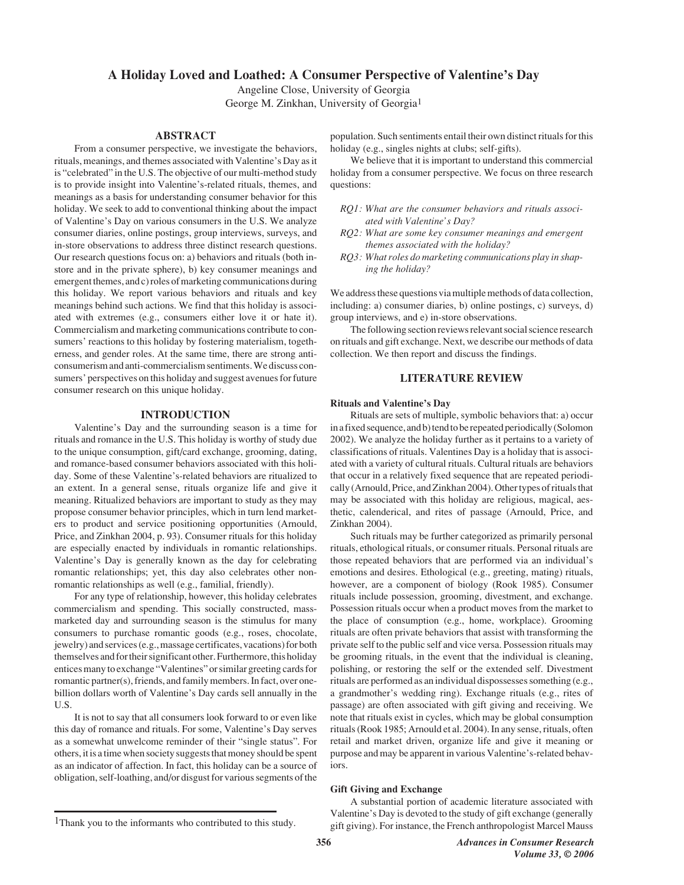# **A Holiday Loved and Loathed: A Consumer Perspective of Valentine's Day**

Angeline Close, University of Georgia George M. Zinkhan, University of Georgia1

# **ABSTRACT**

From a consumer perspective, we investigate the behaviors, rituals, meanings, and themes associated with Valentine's Day as it is "celebrated" in the U.S. The objective of our multi-method study is to provide insight into Valentine's-related rituals, themes, and meanings as a basis for understanding consumer behavior for this holiday. We seek to add to conventional thinking about the impact of Valentine's Day on various consumers in the U.S. We analyze consumer diaries, online postings, group interviews, surveys, and in-store observations to address three distinct research questions. Our research questions focus on: a) behaviors and rituals (both instore and in the private sphere), b) key consumer meanings and emergent themes, and c) roles of marketing communications during this holiday. We report various behaviors and rituals and key meanings behind such actions. We find that this holiday is associated with extremes (e.g., consumers either love it or hate it). Commercialism and marketing communications contribute to consumers' reactions to this holiday by fostering materialism, togetherness, and gender roles. At the same time, there are strong anticonsumerism and anti-commercialism sentiments. We discuss consumers' perspectives on this holiday and suggest avenues for future consumer research on this unique holiday.

# **INTRODUCTION**

Valentine's Day and the surrounding season is a time for rituals and romance in the U.S. This holiday is worthy of study due to the unique consumption, gift/card exchange, grooming, dating, and romance-based consumer behaviors associated with this holiday. Some of these Valentine's-related behaviors are ritualized to an extent. In a general sense, rituals organize life and give it meaning. Ritualized behaviors are important to study as they may propose consumer behavior principles, which in turn lend marketers to product and service positioning opportunities (Arnould, Price, and Zinkhan 2004, p. 93). Consumer rituals for this holiday are especially enacted by individuals in romantic relationships. Valentine's Day is generally known as the day for celebrating romantic relationships; yet, this day also celebrates other nonromantic relationships as well (e.g., familial, friendly).

For any type of relationship, however, this holiday celebrates commercialism and spending. This socially constructed, massmarketed day and surrounding season is the stimulus for many consumers to purchase romantic goods (e.g., roses, chocolate, jewelry) and services (e.g., massage certificates, vacations) for both themselves and for their significant other. Furthermore, this holiday entices many to exchange "Valentines" or similar greeting cards for romantic partner(s), friends, and family members. In fact, over onebillion dollars worth of Valentine's Day cards sell annually in the U.S.

It is not to say that all consumers look forward to or even like this day of romance and rituals. For some, Valentine's Day serves as a somewhat unwelcome reminder of their "single status". For others, it is a time when society suggests that money should be spent as an indicator of affection. In fact, this holiday can be a source of obligation, self-loathing, and/or disgust for various segments of the population. Such sentiments entail their own distinct rituals for this holiday (e.g., singles nights at clubs; self-gifts).

We believe that it is important to understand this commercial holiday from a consumer perspective. We focus on three research questions:

- *RQ1: What are the consumer behaviors and rituals associated with Valentine's Day?*
- *RQ2: What are some key consumer meanings and emergent themes associated with the holiday?*
- *RQ3: What roles do marketing communications play in shaping the holiday?*

We address these questions via multiple methods of data collection, including: a) consumer diaries, b) online postings, c) surveys, d) group interviews, and e) in-store observations.

The following section reviews relevant social science research on rituals and gift exchange. Next, we describe our methods of data collection. We then report and discuss the findings.

# **LITERATURE REVIEW**

#### **Rituals and Valentine's Day**

Rituals are sets of multiple, symbolic behaviors that: a) occur in a fixed sequence, and b) tend to be repeated periodically (Solomon 2002). We analyze the holiday further as it pertains to a variety of classifications of rituals. Valentines Day is a holiday that is associated with a variety of cultural rituals. Cultural rituals are behaviors that occur in a relatively fixed sequence that are repeated periodically (Arnould, Price, and Zinkhan 2004). Other types of rituals that may be associated with this holiday are religious, magical, aesthetic, calenderical, and rites of passage (Arnould, Price, and Zinkhan 2004).

Such rituals may be further categorized as primarily personal rituals, ethological rituals, or consumer rituals. Personal rituals are those repeated behaviors that are performed via an individual's emotions and desires. Ethological (e.g., greeting, mating) rituals, however, are a component of biology (Rook 1985). Consumer rituals include possession, grooming, divestment, and exchange. Possession rituals occur when a product moves from the market to the place of consumption (e.g., home, workplace). Grooming rituals are often private behaviors that assist with transforming the private self to the public self and vice versa. Possession rituals may be grooming rituals, in the event that the individual is cleaning, polishing, or restoring the self or the extended self. Divestment rituals are performed as an individual dispossesses something (e.g., a grandmother's wedding ring). Exchange rituals (e.g., rites of passage) are often associated with gift giving and receiving. We note that rituals exist in cycles, which may be global consumption rituals (Rook 1985; Arnould et al. 2004). In any sense, rituals, often retail and market driven, organize life and give it meaning or purpose and may be apparent in various Valentine's-related behaviors.

#### **Gift Giving and Exchange**

A substantial portion of academic literature associated with Valentine's Day is devoted to the study of gift exchange (generally gift giving). For instance, the French anthropologist Marcel Mauss

<sup>1</sup>Thank you to the informants who contributed to this study.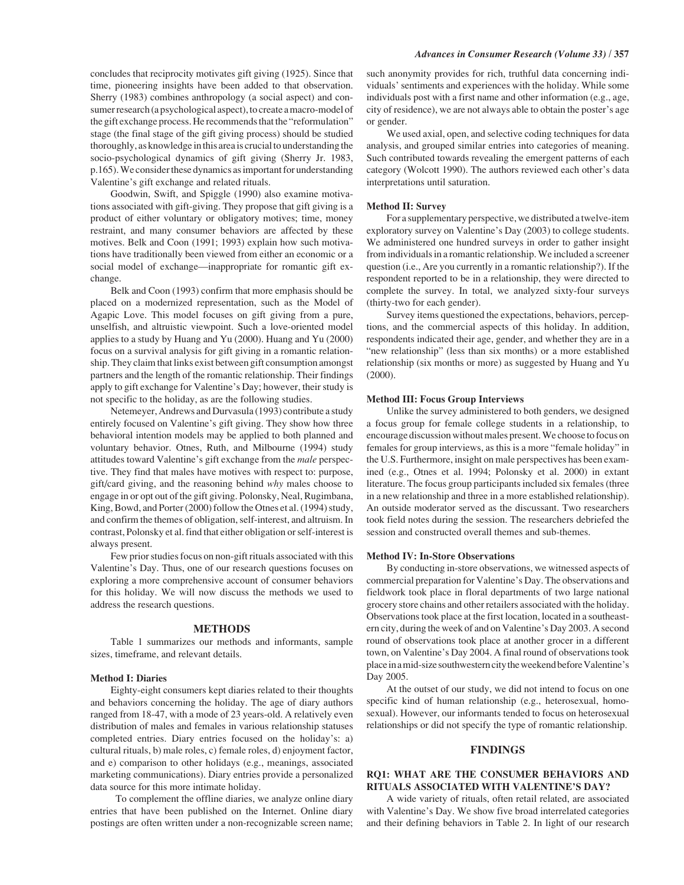concludes that reciprocity motivates gift giving (1925). Since that time, pioneering insights have been added to that observation. Sherry (1983) combines anthropology (a social aspect) and consumer research (a psychological aspect), to create a macro-model of the gift exchange process. He recommends that the "reformulation" stage (the final stage of the gift giving process) should be studied thoroughly, as knowledge in this area is crucial to understanding the socio-psychological dynamics of gift giving (Sherry Jr. 1983, p.165). We consider these dynamics as important for understanding Valentine's gift exchange and related rituals.

Goodwin, Swift, and Spiggle (1990) also examine motivations associated with gift-giving. They propose that gift giving is a product of either voluntary or obligatory motives; time, money restraint, and many consumer behaviors are affected by these motives. Belk and Coon (1991; 1993) explain how such motivations have traditionally been viewed from either an economic or a social model of exchange—inappropriate for romantic gift exchange.

Belk and Coon (1993) confirm that more emphasis should be placed on a modernized representation, such as the Model of Agapic Love. This model focuses on gift giving from a pure, unselfish, and altruistic viewpoint. Such a love-oriented model applies to a study by Huang and Yu (2000). Huang and Yu (2000) focus on a survival analysis for gift giving in a romantic relationship. They claim that links exist between gift consumption amongst partners and the length of the romantic relationship. Their findings apply to gift exchange for Valentine's Day; however, their study is not specific to the holiday, as are the following studies.

Netemeyer, Andrews and Durvasula (1993) contribute a study entirely focused on Valentine's gift giving. They show how three behavioral intention models may be applied to both planned and voluntary behavior. Otnes, Ruth, and Milbourne (1994) study attitudes toward Valentine's gift exchange from the *male* perspective. They find that males have motives with respect to: purpose, gift/card giving, and the reasoning behind *why* males choose to engage in or opt out of the gift giving. Polonsky, Neal, Rugimbana, King, Bowd, and Porter (2000) follow the Otnes et al. (1994) study, and confirm the themes of obligation, self-interest, and altruism. In contrast, Polonsky et al. find that either obligation or self-interest is always present.

Few prior studies focus on non-gift rituals associated with this Valentine's Day. Thus, one of our research questions focuses on exploring a more comprehensive account of consumer behaviors for this holiday. We will now discuss the methods we used to address the research questions.

#### **METHODS**

Table 1 summarizes our methods and informants, sample sizes, timeframe, and relevant details.

#### **Method I: Diaries**

Eighty-eight consumers kept diaries related to their thoughts and behaviors concerning the holiday. The age of diary authors ranged from 18-47, with a mode of 23 years-old. A relatively even distribution of males and females in various relationship statuses completed entries. Diary entries focused on the holiday's: a) cultural rituals, b) male roles, c) female roles, d) enjoyment factor, and e) comparison to other holidays (e.g., meanings, associated marketing communications). Diary entries provide a personalized data source for this more intimate holiday.

 To complement the offline diaries, we analyze online diary entries that have been published on the Internet. Online diary postings are often written under a non-recognizable screen name; such anonymity provides for rich, truthful data concerning individuals' sentiments and experiences with the holiday. While some individuals post with a first name and other information (e.g., age, city of residence), we are not always able to obtain the poster's age or gender.

We used axial, open, and selective coding techniques for data analysis, and grouped similar entries into categories of meaning. Such contributed towards revealing the emergent patterns of each category (Wolcott 1990). The authors reviewed each other's data interpretations until saturation.

#### **Method II: Survey**

For a supplementary perspective, we distributed a twelve-item exploratory survey on Valentine's Day (2003) to college students. We administered one hundred surveys in order to gather insight from individuals in a romantic relationship. We included a screener question (i.e., Are you currently in a romantic relationship?). If the respondent reported to be in a relationship, they were directed to complete the survey. In total, we analyzed sixty-four surveys (thirty-two for each gender).

Survey items questioned the expectations, behaviors, perceptions, and the commercial aspects of this holiday. In addition, respondents indicated their age, gender, and whether they are in a "new relationship" (less than six months) or a more established relationship (six months or more) as suggested by Huang and Yu (2000).

#### **Method III: Focus Group Interviews**

Unlike the survey administered to both genders, we designed a focus group for female college students in a relationship, to encourage discussion without males present. We choose to focus on females for group interviews, as this is a more "female holiday" in the U.S. Furthermore, insight on male perspectives has been examined (e.g., Otnes et al. 1994; Polonsky et al. 2000) in extant literature. The focus group participants included six females (three in a new relationship and three in a more established relationship). An outside moderator served as the discussant. Two researchers took field notes during the session. The researchers debriefed the session and constructed overall themes and sub-themes.

#### **Method IV: In-Store Observations**

By conducting in-store observations, we witnessed aspects of commercial preparation for Valentine's Day. The observations and fieldwork took place in floral departments of two large national grocery store chains and other retailers associated with the holiday. Observations took place at the first location, located in a southeastern city, during the week of and on Valentine's Day 2003. A second round of observations took place at another grocer in a different town, on Valentine's Day 2004. A final round of observations took place in a mid-size southwestern city the weekend before Valentine's Day 2005.

At the outset of our study, we did not intend to focus on one specific kind of human relationship (e.g., heterosexual, homosexual). However, our informants tended to focus on heterosexual relationships or did not specify the type of romantic relationship.

## **FINDINGS**

# **RQ1: WHAT ARE THE CONSUMER BEHAVIORS AND RITUALS ASSOCIATED WITH VALENTINE'S DAY?**

A wide variety of rituals, often retail related, are associated with Valentine's Day. We show five broad interrelated categories and their defining behaviors in Table 2. In light of our research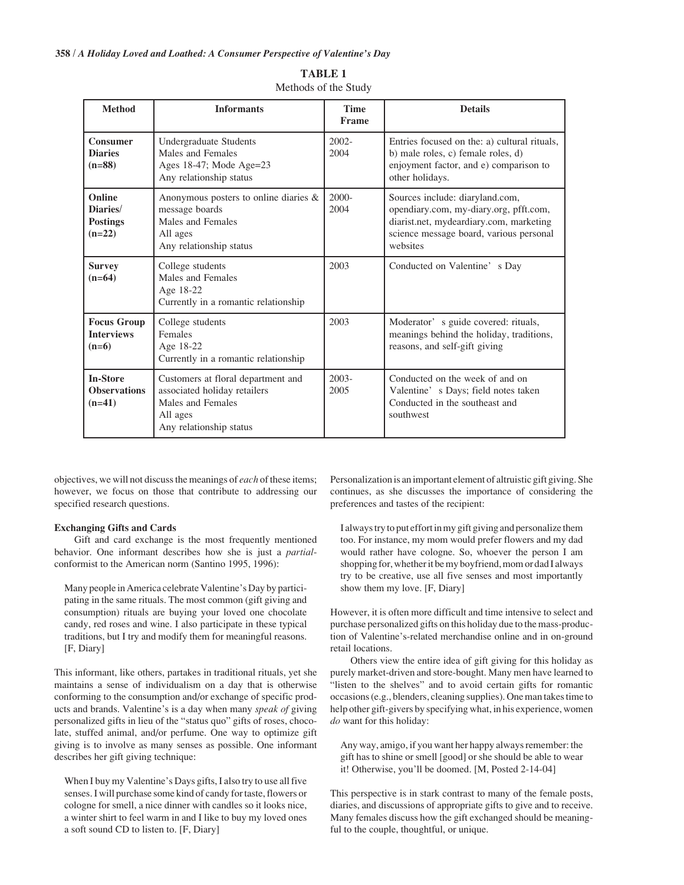| <b>Method</b>                                            | <b>Informants</b>                                                                                                              | <b>Time</b><br><b>Frame</b> | <b>Details</b>                                                                                                                                                              |
|----------------------------------------------------------|--------------------------------------------------------------------------------------------------------------------------------|-----------------------------|-----------------------------------------------------------------------------------------------------------------------------------------------------------------------------|
| <b>Consumer</b><br><b>Diaries</b><br>$(n=88)$            | Undergraduate Students<br>Males and Females<br>Ages 18-47; Mode Age=23<br>Any relationship status                              | $2002 -$<br>2004            | Entries focused on the: a) cultural rituals,<br>b) male roles, c) female roles, d)<br>enjoyment factor, and e) comparison to<br>other holidays.                             |
| <b>Online</b><br>Diaries/<br><b>Postings</b><br>$(n=22)$ | Anonymous posters to online diaries &<br>message boards<br>Males and Females<br>All ages<br>Any relationship status            | $2000 -$<br>2004            | Sources include: diaryland.com,<br>opendiary.com, my-diary.org, pfft.com,<br>diarist.net, mydeardiary.com, marketing<br>science message board, various personal<br>websites |
| <b>Survey</b><br>$(n=64)$                                | College students<br>Males and Females<br>Age 18-22<br>Currently in a romantic relationship                                     | 2003                        | Conducted on Valentine's Day                                                                                                                                                |
| <b>Focus Group</b><br><b>Interviews</b><br>$(n=6)$       | College students<br>Females<br>Age 18-22<br>Currently in a romantic relationship                                               | 2003                        | Moderator's guide covered: rituals,<br>meanings behind the holiday, traditions,<br>reasons, and self-gift giving                                                            |
| <b>In-Store</b><br><b>Observations</b><br>$(n=41)$       | Customers at floral department and<br>associated holiday retailers<br>Males and Females<br>All ages<br>Any relationship status | $2003 -$<br>2005            | Conducted on the week of and on<br>Valentine's Days; field notes taken<br>Conducted in the southeast and<br>southwest                                                       |

| <b>TABLE 1</b>       |  |  |
|----------------------|--|--|
| Methods of the Study |  |  |

objectives, we will not discuss the meanings of *each* of these items; however, we focus on those that contribute to addressing our specified research questions.

#### **Exchanging Gifts and Cards**

Gift and card exchange is the most frequently mentioned behavior. One informant describes how she is just a *partial*conformist to the American norm (Santino 1995, 1996):

Many people in America celebrate Valentine's Day by participating in the same rituals. The most common (gift giving and consumption) rituals are buying your loved one chocolate candy, red roses and wine. I also participate in these typical traditions, but I try and modify them for meaningful reasons. [F, Diary]

This informant, like others, partakes in traditional rituals, yet she maintains a sense of individualism on a day that is otherwise conforming to the consumption and/or exchange of specific products and brands. Valentine's is a day when many *speak of* giving personalized gifts in lieu of the "status quo" gifts of roses, chocolate, stuffed animal, and/or perfume. One way to optimize gift giving is to involve as many senses as possible. One informant describes her gift giving technique:

When I buy my Valentine's Days gifts, I also try to use all five senses. I will purchase some kind of candy for taste, flowers or cologne for smell, a nice dinner with candles so it looks nice, a winter shirt to feel warm in and I like to buy my loved ones a soft sound CD to listen to. [F, Diary]

Personalization is an important element of altruistic gift giving. She continues, as she discusses the importance of considering the preferences and tastes of the recipient:

I always try to put effort in my gift giving and personalize them too. For instance, my mom would prefer flowers and my dad would rather have cologne. So, whoever the person I am shopping for, whether it be my boyfriend, mom or dad I always try to be creative, use all five senses and most importantly show them my love. [F, Diary]

However, it is often more difficult and time intensive to select and purchase personalized gifts on this holiday due to the mass-production of Valentine's-related merchandise online and in on-ground retail locations.

Others view the entire idea of gift giving for this holiday as purely market-driven and store-bought. Many men have learned to "listen to the shelves" and to avoid certain gifts for romantic occasions (e.g., blenders, cleaning supplies). One man takes time to help other gift-givers by specifying what, in his experience, women *do* want for this holiday:

Any way, amigo, if you want her happy always remember: the gift has to shine or smell [good] or she should be able to wear it! Otherwise, you'll be doomed. [M, Posted 2-14-04]

This perspective is in stark contrast to many of the female posts, diaries, and discussions of appropriate gifts to give and to receive. Many females discuss how the gift exchanged should be meaningful to the couple, thoughtful, or unique.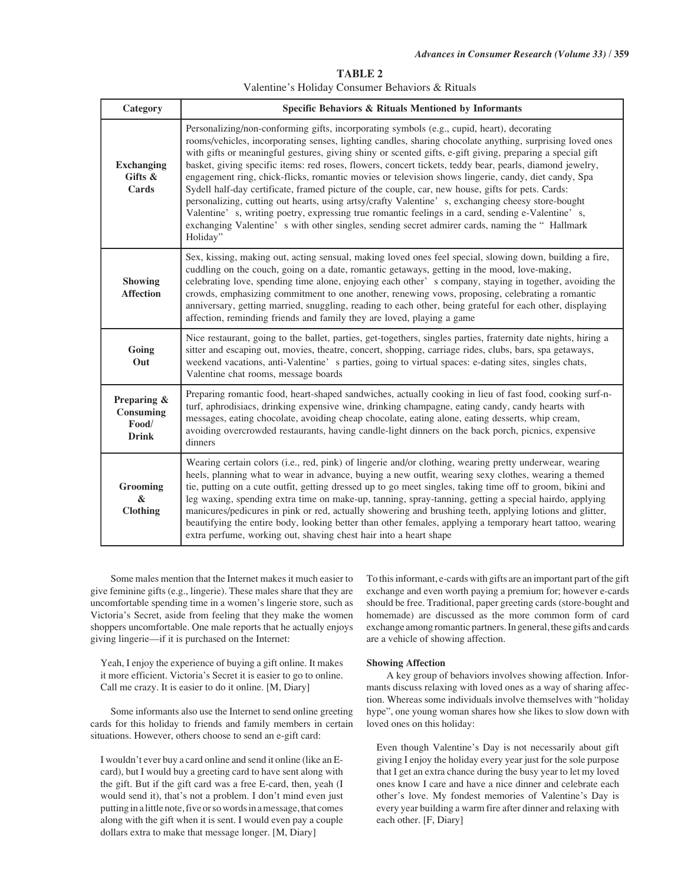**TABLE 2** Valentine's Holiday Consumer Behaviors & Rituals

| Category                                          | Specific Behaviors & Rituals Mentioned by Informants                                                                                                                                                                                                                                                                                                                                                                                                                                                                                                                                                                                                                                                                                                                                                                                                                                                                                                                |  |  |
|---------------------------------------------------|---------------------------------------------------------------------------------------------------------------------------------------------------------------------------------------------------------------------------------------------------------------------------------------------------------------------------------------------------------------------------------------------------------------------------------------------------------------------------------------------------------------------------------------------------------------------------------------------------------------------------------------------------------------------------------------------------------------------------------------------------------------------------------------------------------------------------------------------------------------------------------------------------------------------------------------------------------------------|--|--|
| <b>Exchanging</b><br>Gifts &<br>Cards             | Personalizing/non-conforming gifts, incorporating symbols (e.g., cupid, heart), decorating<br>rooms/vehicles, incorporating senses, lighting candles, sharing chocolate anything, surprising loved ones<br>with gifts or meaningful gestures, giving shiny or scented gifts, e-gift giving, preparing a special gift<br>basket, giving specific items: red roses, flowers, concert tickets, teddy bear, pearls, diamond jewelry,<br>engagement ring, chick-flicks, romantic movies or television shows lingerie, candy, diet candy, Spa<br>Sydell half-day certificate, framed picture of the couple, car, new house, gifts for pets. Cards:<br>personalizing, cutting out hearts, using artsy/crafty Valentine' s, exchanging cheesy store-bought<br>Valentine's, writing poetry, expressing true romantic feelings in a card, sending e-Valentine's,<br>exchanging Valentine's with other singles, sending secret admirer cards, naming the "Hallmark<br>Holiday" |  |  |
| <b>Showing</b><br><b>Affection</b>                | Sex, kissing, making out, acting sensual, making loved ones feel special, slowing down, building a fire,<br>cuddling on the couch, going on a date, romantic getaways, getting in the mood, love-making,<br>celebrating love, spending time alone, enjoying each other' s company, staying in together, avoiding the<br>crowds, emphasizing commitment to one another, renewing vows, proposing, celebrating a romantic<br>anniversary, getting married, snuggling, reading to each other, being grateful for each other, displaying<br>affection, reminding friends and family they are loved, playing a game                                                                                                                                                                                                                                                                                                                                                      |  |  |
| Going<br>Out                                      | Nice restaurant, going to the ballet, parties, get-togethers, singles parties, fraternity date nights, hiring a<br>sitter and escaping out, movies, theatre, concert, shopping, carriage rides, clubs, bars, spa getaways,<br>weekend vacations, anti-Valentine' s parties, going to virtual spaces: e-dating sites, singles chats,<br>Valentine chat rooms, message boards                                                                                                                                                                                                                                                                                                                                                                                                                                                                                                                                                                                         |  |  |
| Preparing &<br>Consuming<br>Food/<br><b>Drink</b> | Preparing romantic food, heart-shaped sandwiches, actually cooking in lieu of fast food, cooking surf-n-<br>turf, aphrodisiacs, drinking expensive wine, drinking champagne, eating candy, candy hearts with<br>messages, eating chocolate, avoiding cheap chocolate, eating alone, eating desserts, whip cream,<br>avoiding overcrowded restaurants, having candle-light dinners on the back porch, picnics, expensive<br>dinners                                                                                                                                                                                                                                                                                                                                                                                                                                                                                                                                  |  |  |
| Grooming<br>&<br>Clothing                         | Wearing certain colors (i.e., red, pink) of lingerie and/or clothing, wearing pretty underwear, wearing<br>heels, planning what to wear in advance, buying a new outfit, wearing sexy clothes, wearing a themed<br>tie, putting on a cute outfit, getting dressed up to go meet singles, taking time off to groom, bikini and<br>leg waxing, spending extra time on make-up, tanning, spray-tanning, getting a special hairdo, applying<br>manicures/pedicures in pink or red, actually showering and brushing teeth, applying lotions and glitter,<br>beautifying the entire body, looking better than other females, applying a temporary heart tattoo, wearing<br>extra perfume, working out, shaving chest hair into a heart shape                                                                                                                                                                                                                              |  |  |

Some males mention that the Internet makes it much easier to give feminine gifts (e.g., lingerie). These males share that they are uncomfortable spending time in a women's lingerie store, such as Victoria's Secret, aside from feeling that they make the women shoppers uncomfortable. One male reports that he actually enjoys giving lingerie—if it is purchased on the Internet:

Yeah, I enjoy the experience of buying a gift online. It makes it more efficient. Victoria's Secret it is easier to go to online. Call me crazy. It is easier to do it online. [M, Diary]

Some informants also use the Internet to send online greeting cards for this holiday to friends and family members in certain situations. However, others choose to send an e-gift card:

I wouldn't ever buy a card online and send it online (like an Ecard), but I would buy a greeting card to have sent along with the gift. But if the gift card was a free E-card, then, yeah (I would send it), that's not a problem. I don't mind even just putting in a little note, five or so words in a message, that comes along with the gift when it is sent. I would even pay a couple dollars extra to make that message longer. [M, Diary]

To this informant, e-cards with gifts are an important part of the gift exchange and even worth paying a premium for; however e-cards should be free. Traditional, paper greeting cards (store-bought and homemade) are discussed as the more common form of card exchange among romantic partners. In general, these gifts and cards are a vehicle of showing affection.

# **Showing Affection**

A key group of behaviors involves showing affection. Informants discuss relaxing with loved ones as a way of sharing affection. Whereas some individuals involve themselves with "holiday hype", one young woman shares how she likes to slow down with loved ones on this holiday:

Even though Valentine's Day is not necessarily about gift giving I enjoy the holiday every year just for the sole purpose that I get an extra chance during the busy year to let my loved ones know I care and have a nice dinner and celebrate each other's love. My fondest memories of Valentine's Day is every year building a warm fire after dinner and relaxing with each other. [F, Diary]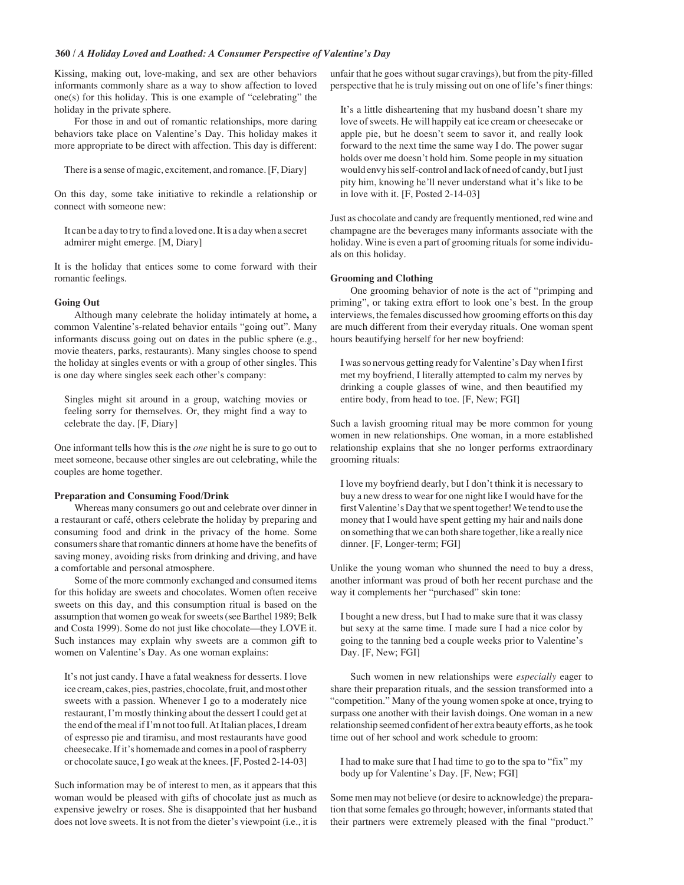# **360 /** *A Holiday Loved and Loathed: A Consumer Perspective of Valentine's Day*

Kissing, making out, love-making, and sex are other behaviors informants commonly share as a way to show affection to loved one(s) for this holiday. This is one example of "celebrating" the holiday in the private sphere.

For those in and out of romantic relationships, more daring behaviors take place on Valentine's Day. This holiday makes it more appropriate to be direct with affection. This day is different:

There is a sense of magic, excitement, and romance. [F, Diary]

On this day, some take initiative to rekindle a relationship or connect with someone new:

It can be a day to try to find a loved one. It is a day when a secret admirer might emerge*.* [M, Diary]

It is the holiday that entices some to come forward with their romantic feelings.

#### **Going Out**

Although many celebrate the holiday intimately at home**,** a common Valentine's-related behavior entails "going out". Many informants discuss going out on dates in the public sphere (e.g., movie theaters, parks, restaurants). Many singles choose to spend the holiday at singles events or with a group of other singles. This is one day where singles seek each other's company:

Singles might sit around in a group, watching movies or feeling sorry for themselves. Or, they might find a way to celebrate the day. [F, Diary]

One informant tells how this is the *one* night he is sure to go out to meet someone, because other singles are out celebrating, while the couples are home together.

## **Preparation and Consuming Food/Drink**

Whereas many consumers go out and celebrate over dinner in a restaurant or café, others celebrate the holiday by preparing and consuming food and drink in the privacy of the home. Some consumers share that romantic dinners at home have the benefits of saving money, avoiding risks from drinking and driving, and have a comfortable and personal atmosphere.

Some of the more commonly exchanged and consumed items for this holiday are sweets and chocolates. Women often receive sweets on this day, and this consumption ritual is based on the assumption that women go weak for sweets (see Barthel 1989; Belk and Costa 1999). Some do not just like chocolate—they LOVE it. Such instances may explain why sweets are a common gift to women on Valentine's Day. As one woman explains:

It's not just candy. I have a fatal weakness for desserts. I love ice cream, cakes, pies, pastries, chocolate, fruit, and most other sweets with a passion. Whenever I go to a moderately nice restaurant, I'm mostly thinking about the dessert I could get at the end of the meal if I'm not too full. At Italian places, I dream of espresso pie and tiramisu, and most restaurants have good cheesecake. If it's homemade and comes in a pool of raspberry or chocolate sauce, I go weak at the knees. [F, Posted 2-14-03]

Such information may be of interest to men, as it appears that this woman would be pleased with gifts of chocolate just as much as expensive jewelry or roses. She is disappointed that her husband does not love sweets. It is not from the dieter's viewpoint (i.e., it is unfair that he goes without sugar cravings), but from the pity-filled perspective that he is truly missing out on one of life's finer things:

It's a little disheartening that my husband doesn't share my love of sweets. He will happily eat ice cream or cheesecake or apple pie, but he doesn't seem to savor it, and really look forward to the next time the same way I do. The power sugar holds over me doesn't hold him. Some people in my situation would envy his self-control and lack of need of candy, but I just pity him, knowing he'll never understand what it's like to be in love with it. [F, Posted 2-14-03]

Just as chocolate and candy are frequently mentioned, red wine and champagne are the beverages many informants associate with the holiday. Wine is even a part of grooming rituals for some individuals on this holiday.

## **Grooming and Clothing**

One grooming behavior of note is the act of "primping and priming", or taking extra effort to look one's best. In the group interviews, the females discussed how grooming efforts on this day are much different from their everyday rituals. One woman spent hours beautifying herself for her new boyfriend:

I was so nervous getting ready for Valentine's Day when I first met my boyfriend, I literally attempted to calm my nerves by drinking a couple glasses of wine, and then beautified my entire body, from head to toe. [F, New; FGI]

Such a lavish grooming ritual may be more common for young women in new relationships. One woman, in a more established relationship explains that she no longer performs extraordinary grooming rituals:

I love my boyfriend dearly, but I don't think it is necessary to buy a new dress to wear for one night like I would have for the first Valentine's Day that we spent together! We tend to use the money that I would have spent getting my hair and nails done on something that we can both share together, like a really nice dinner. [F, Longer-term; FGI]

Unlike the young woman who shunned the need to buy a dress, another informant was proud of both her recent purchase and the way it complements her "purchased" skin tone:

I bought a new dress, but I had to make sure that it was classy but sexy at the same time. I made sure I had a nice color by going to the tanning bed a couple weeks prior to Valentine's Day. [F, New; FGI]

Such women in new relationships were *especially* eager to share their preparation rituals, and the session transformed into a "competition." Many of the young women spoke at once, trying to surpass one another with their lavish doings. One woman in a new relationship seemed confident of her extra beauty efforts, as he took time out of her school and work schedule to groom:

I had to make sure that I had time to go to the spa to "fix" my body up for Valentine's Day. [F, New; FGI]

Some men may not believe (or desire to acknowledge) the preparation that some females go through; however, informants stated that their partners were extremely pleased with the final "product."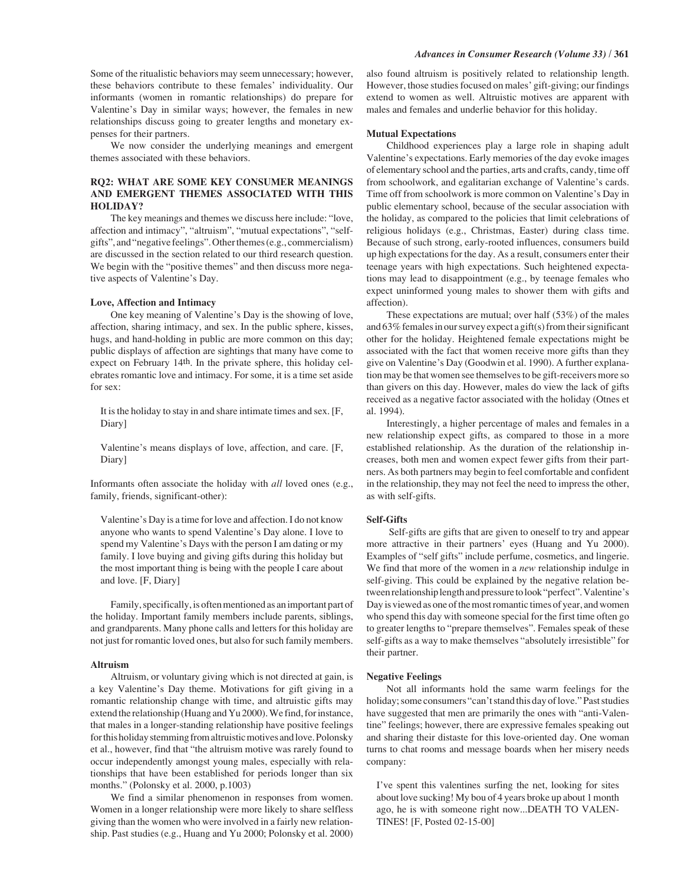We now consider the underlying meanings and emergent themes associated with these behaviors.

# **RQ2: WHAT ARE SOME KEY CONSUMER MEANINGS AND EMERGENT THEMES ASSOCIATED WITH THIS HOLIDAY?**

The key meanings and themes we discuss here include: "love, affection and intimacy", "altruism", "mutual expectations", "selfgifts", and "negative feelings". Other themes (e.g., commercialism) are discussed in the section related to our third research question. We begin with the "positive themes" and then discuss more negative aspects of Valentine's Day.

#### **Love, Affection and Intimacy**

One key meaning of Valentine's Day is the showing of love, affection, sharing intimacy, and sex. In the public sphere, kisses, hugs, and hand-holding in public are more common on this day; public displays of affection are sightings that many have come to expect on February 14th. In the private sphere, this holiday celebrates romantic love and intimacy. For some, it is a time set aside for sex:

It is the holiday to stay in and share intimate times and sex. [F, Diary]

Valentine's means displays of love, affection, and care. [F, Diary]

Informants often associate the holiday with *all* loved ones (e.g., family, friends, significant-other):

Valentine's Day is a time for love and affection. I do not know anyone who wants to spend Valentine's Day alone. I love to spend my Valentine's Days with the person I am dating or my family. I love buying and giving gifts during this holiday but the most important thing is being with the people I care about and love. [F, Diary]

Family, specifically, is often mentioned as an important part of the holiday. Important family members include parents, siblings, and grandparents. Many phone calls and letters for this holiday are not just for romantic loved ones, but also for such family members.

#### **Altruism**

Altruism, or voluntary giving which is not directed at gain, is a key Valentine's Day theme. Motivations for gift giving in a romantic relationship change with time, and altruistic gifts may extend the relationship (Huang and Yu 2000). We find, for instance, that males in a longer-standing relationship have positive feelings for this holiday stemming from altruistic motives and love. Polonsky et al., however, find that "the altruism motive was rarely found to occur independently amongst young males, especially with relationships that have been established for periods longer than six months." (Polonsky et al. 2000, p.1003)

We find a similar phenomenon in responses from women. Women in a longer relationship were more likely to share selfless giving than the women who were involved in a fairly new relationship. Past studies (e.g., Huang and Yu 2000; Polonsky et al. 2000)

also found altruism is positively related to relationship length. However, those studies focused on males' gift-giving; our findings extend to women as well. Altruistic motives are apparent with males and females and underlie behavior for this holiday.

#### **Mutual Expectations**

Childhood experiences play a large role in shaping adult Valentine's expectations. Early memories of the day evoke images of elementary school and the parties, arts and crafts, candy, time off from schoolwork, and egalitarian exchange of Valentine's cards. Time off from schoolwork is more common on Valentine's Day in public elementary school, because of the secular association with the holiday, as compared to the policies that limit celebrations of religious holidays (e.g., Christmas, Easter) during class time. Because of such strong, early-rooted influences, consumers build up high expectations for the day. As a result, consumers enter their teenage years with high expectations. Such heightened expectations may lead to disappointment (e.g., by teenage females who expect uninformed young males to shower them with gifts and affection).

These expectations are mutual; over half (53%) of the males and 63% females in our survey expect a gift(s) from their significant other for the holiday. Heightened female expectations might be associated with the fact that women receive more gifts than they give on Valentine's Day (Goodwin et al. 1990). A further explanation may be that women see themselves to be gift-receivers more so than givers on this day. However, males do view the lack of gifts received as a negative factor associated with the holiday (Otnes et al. 1994).

Interestingly, a higher percentage of males and females in a new relationship expect gifts, as compared to those in a more established relationship. As the duration of the relationship increases, both men and women expect fewer gifts from their partners. As both partners may begin to feel comfortable and confident in the relationship, they may not feel the need to impress the other, as with self-gifts.

#### **Self-Gifts**

 Self-gifts are gifts that are given to oneself to try and appear more attractive in their partners' eyes (Huang and Yu 2000). Examples of "self gifts" include perfume, cosmetics, and lingerie. We find that more of the women in a *new* relationship indulge in self-giving. This could be explained by the negative relation between relationship length and pressure to look "perfect". Valentine's Day is viewed as one of the most romantic times of year, and women who spend this day with someone special for the first time often go to greater lengths to "prepare themselves". Females speak of these self-gifts as a way to make themselves "absolutely irresistible" for their partner.

#### **Negative Feelings**

Not all informants hold the same warm feelings for the holiday; some consumers "can't stand this day of love." Past studies have suggested that men are primarily the ones with "anti-Valentine" feelings; however, there are expressive females speaking out and sharing their distaste for this love-oriented day. One woman turns to chat rooms and message boards when her misery needs company:

I've spent this valentines surfing the net, looking for sites about love sucking! My bou of 4 years broke up about 1 month ago, he is with someone right now...DEATH TO VALEN-TINES! [F, Posted 02-15-00]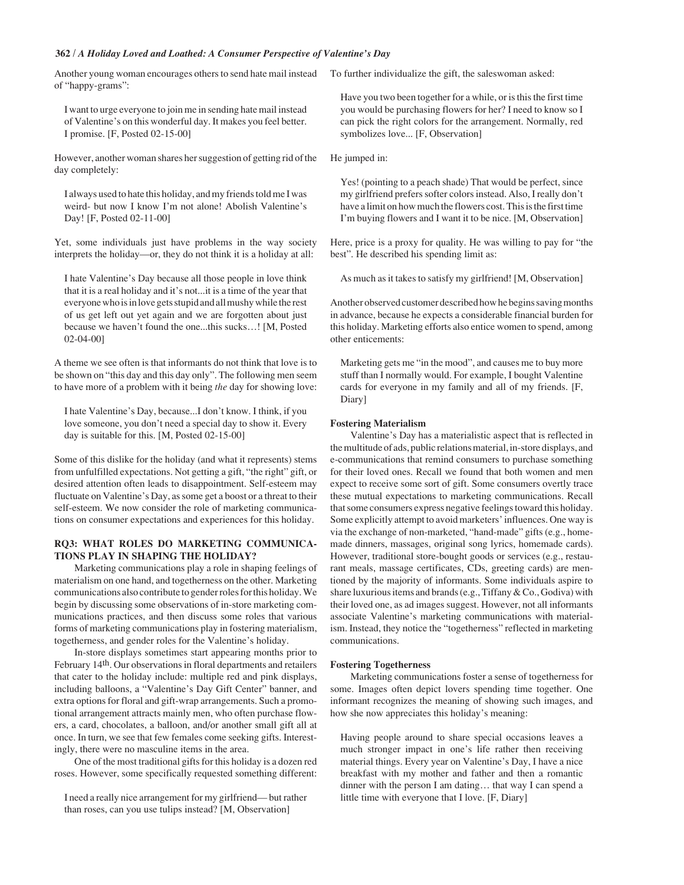# **362 /** *A Holiday Loved and Loathed: A Consumer Perspective of Valentine's Day*

Another young woman encourages others to send hate mail instead of "happy-grams":

I want to urge everyone to join me in sending hate mail instead of Valentine's on this wonderful day. It makes you feel better. I promise. [F, Posted 02-15-00]

However, another woman shares her suggestion of getting rid of the day completely:

I always used to hate this holiday, and my friends told me I was weird- but now I know I'm not alone! Abolish Valentine's Day! [F, Posted 02-11-00]

Yet, some individuals just have problems in the way society interprets the holiday—or, they do not think it is a holiday at all:

I hate Valentine's Day because all those people in love think that it is a real holiday and it's not...it is a time of the year that everyone who is in love gets stupid and all mushy while the rest of us get left out yet again and we are forgotten about just because we haven't found the one...this sucks…! [M, Posted 02-04-00]

A theme we see often is that informants do not think that love is to be shown on "this day and this day only". The following men seem to have more of a problem with it being *the* day for showing love:

I hate Valentine's Day, because...I don't know. I think, if you love someone, you don't need a special day to show it. Every day is suitable for this. [M, Posted 02-15-00]

Some of this dislike for the holiday (and what it represents) stems from unfulfilled expectations. Not getting a gift, "the right" gift, or desired attention often leads to disappointment. Self-esteem may fluctuate on Valentine's Day, as some get a boost or a threat to their self-esteem. We now consider the role of marketing communications on consumer expectations and experiences for this holiday.

# **RQ3: WHAT ROLES DO MARKETING COMMUNICA-TIONS PLAY IN SHAPING THE HOLIDAY?**

Marketing communications play a role in shaping feelings of materialism on one hand, and togetherness on the other. Marketing communications also contribute to gender roles for this holiday. We begin by discussing some observations of in-store marketing communications practices, and then discuss some roles that various forms of marketing communications play in fostering materialism, togetherness, and gender roles for the Valentine's holiday.

In-store displays sometimes start appearing months prior to February 14th. Our observations in floral departments and retailers that cater to the holiday include: multiple red and pink displays, including balloons, a "Valentine's Day Gift Center" banner, and extra options for floral and gift-wrap arrangements. Such a promotional arrangement attracts mainly men, who often purchase flowers, a card, chocolates, a balloon, and/or another small gift all at once. In turn, we see that few females come seeking gifts. Interestingly, there were no masculine items in the area.

One of the most traditional gifts for this holiday is a dozen red roses. However, some specifically requested something different:

I need a really nice arrangement for my girlfriend— but rather than roses, can you use tulips instead? [M, Observation]

To further individualize the gift, the saleswoman asked:

Have you two been together for a while, or is this the first time you would be purchasing flowers for her? I need to know so I can pick the right colors for the arrangement. Normally, red symbolizes love... [F, Observation]

He jumped in:

Yes! (pointing to a peach shade) That would be perfect, since my girlfriend prefers softer colors instead. Also, I really don't have a limit on how much the flowers cost. This is the first time I'm buying flowers and I want it to be nice. [M, Observation]

Here, price is a proxy for quality. He was willing to pay for "the best". He described his spending limit as:

As much as it takes to satisfy my girlfriend! [M, Observation]

Another observed customer described how he begins saving months in advance, because he expects a considerable financial burden for this holiday. Marketing efforts also entice women to spend, among other enticements:

Marketing gets me "in the mood", and causes me to buy more stuff than I normally would. For example, I bought Valentine cards for everyone in my family and all of my friends. [F, Diary]

#### **Fostering Materialism**

Valentine's Day has a materialistic aspect that is reflected in the multitude of ads, public relations material, in-store displays, and e-communications that remind consumers to purchase something for their loved ones. Recall we found that both women and men expect to receive some sort of gift. Some consumers overtly trace these mutual expectations to marketing communications. Recall that some consumers express negative feelings toward this holiday. Some explicitly attempt to avoid marketers' influences. One way is via the exchange of non-marketed, "hand-made" gifts (e.g., homemade dinners, massages, original song lyrics, homemade cards). However, traditional store-bought goods or services (e.g., restaurant meals, massage certificates, CDs, greeting cards) are mentioned by the majority of informants. Some individuals aspire to share luxurious items and brands (e.g., Tiffany & Co., Godiva) with their loved one, as ad images suggest. However, not all informants associate Valentine's marketing communications with materialism. Instead, they notice the "togetherness" reflected in marketing communications.

#### **Fostering Togetherness**

Marketing communications foster a sense of togetherness for some. Images often depict lovers spending time together. One informant recognizes the meaning of showing such images, and how she now appreciates this holiday's meaning:

Having people around to share special occasions leaves a much stronger impact in one's life rather then receiving material things. Every year on Valentine's Day, I have a nice breakfast with my mother and father and then a romantic dinner with the person I am dating… that way I can spend a little time with everyone that I love. [F, Diary]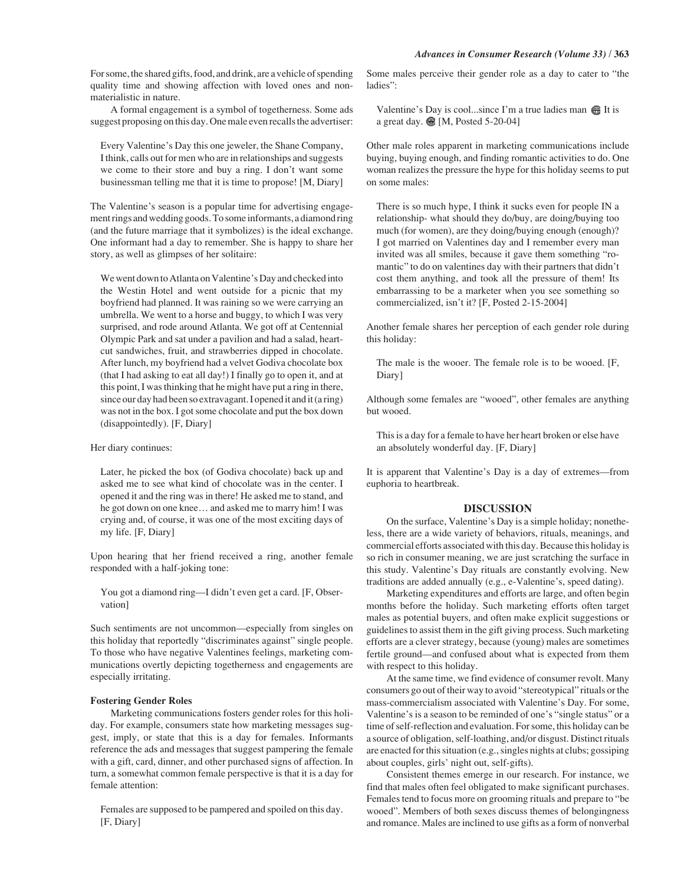For some, the shared gifts, food, and drink, are a vehicle of spending quality time and showing affection with loved ones and nonmaterialistic in nature.

A formal engagement is a symbol of togetherness. Some ads suggest proposing on this day. One male even recalls the advertiser:

Every Valentine's Day this one jeweler, the Shane Company, I think, calls out for men who are in relationships and suggests we come to their store and buy a ring. I don't want some businessman telling me that it is time to propose! [M, Diary]

The Valentine's season is a popular time for advertising engagement rings and wedding goods. To some informants, a diamond ring (and the future marriage that it symbolizes) is the ideal exchange. One informant had a day to remember. She is happy to share her story, as well as glimpses of her solitaire:

We went down to Atlanta on Valentine's Day and checked into the Westin Hotel and went outside for a picnic that my boyfriend had planned. It was raining so we were carrying an umbrella. We went to a horse and buggy, to which I was very surprised, and rode around Atlanta. We got off at Centennial Olympic Park and sat under a pavilion and had a salad, heartcut sandwiches, fruit, and strawberries dipped in chocolate. After lunch, my boyfriend had a velvet Godiva chocolate box (that I had asking to eat all day!) I finally go to open it, and at this point, I was thinking that he might have put a ring in there, since our day had been so extravagant. I opened it and it (a ring) was not in the box. I got some chocolate and put the box down (disappointedly). [F, Diary]

#### Her diary continues:

Later, he picked the box (of Godiva chocolate) back up and asked me to see what kind of chocolate was in the center. I opened it and the ring was in there! He asked me to stand, and he got down on one knee… and asked me to marry him! I was crying and, of course, it was one of the most exciting days of my life. [F, Diary]

Upon hearing that her friend received a ring, another female responded with a half-joking tone:

You got a diamond ring—I didn't even get a card. [F, Observation]

Such sentiments are not uncommon—especially from singles on this holiday that reportedly "discriminates against" single people. To those who have negative Valentines feelings, marketing communications overtly depicting togetherness and engagements are especially irritating.

#### **Fostering Gender Roles**

Marketing communications fosters gender roles for this holiday. For example, consumers state how marketing messages suggest, imply, or state that this is a day for females. Informants reference the ads and messages that suggest pampering the female with a gift, card, dinner, and other purchased signs of affection. In turn, a somewhat common female perspective is that it is a day for female attention:

Females are supposed to be pampered and spoiled on this day. [F, Diary]

Some males perceive their gender role as a day to cater to "the ladies":

Valentine's Day is cool...since I'm a true ladies man  $\bigoplus$  It is a great day. <sup>[9]</sup> [M, Posted 5-20-04]

Other male roles apparent in marketing communications include buying, buying enough, and finding romantic activities to do. One woman realizes the pressure the hype for this holiday seems to put on some males:

There is so much hype, I think it sucks even for people IN a relationship- what should they do/buy, are doing/buying too much (for women), are they doing/buying enough (enough)? I got married on Valentines day and I remember every man invited was all smiles, because it gave them something "romantic" to do on valentines day with their partners that didn't cost them anything, and took all the pressure of them! Its embarrassing to be a marketer when you see something so commercialized, isn't it? [F, Posted 2-15-2004]

Another female shares her perception of each gender role during this holiday:

The male is the wooer. The female role is to be wooed. [F, Diary]

Although some females are "wooed", other females are anything but wooed.

This is a day for a female to have her heart broken or else have an absolutely wonderful day. [F, Diary]

It is apparent that Valentine's Day is a day of extremes—from euphoria to heartbreak.

#### **DISCUSSION**

On the surface, Valentine's Day is a simple holiday; nonetheless, there are a wide variety of behaviors, rituals, meanings, and commercial efforts associated with this day. Because this holiday is so rich in consumer meaning, we are just scratching the surface in this study. Valentine's Day rituals are constantly evolving. New traditions are added annually (e.g., e-Valentine's, speed dating).

Marketing expenditures and efforts are large, and often begin months before the holiday. Such marketing efforts often target males as potential buyers, and often make explicit suggestions or guidelines to assist them in the gift giving process. Such marketing efforts are a clever strategy, because (young) males are sometimes fertile ground—and confused about what is expected from them with respect to this holiday.

At the same time, we find evidence of consumer revolt. Many consumers go out of their way to avoid "stereotypical" rituals or the mass-commercialism associated with Valentine's Day. For some, Valentine's is a season to be reminded of one's "single status" or a time of self-reflection and evaluation. For some, this holiday can be a source of obligation, self-loathing, and/or disgust. Distinct rituals are enacted for this situation (e.g., singles nights at clubs; gossiping about couples, girls' night out, self-gifts).

Consistent themes emerge in our research. For instance, we find that males often feel obligated to make significant purchases. Females tend to focus more on grooming rituals and prepare to "be wooed". Members of both sexes discuss themes of belongingness and romance. Males are inclined to use gifts as a form of nonverbal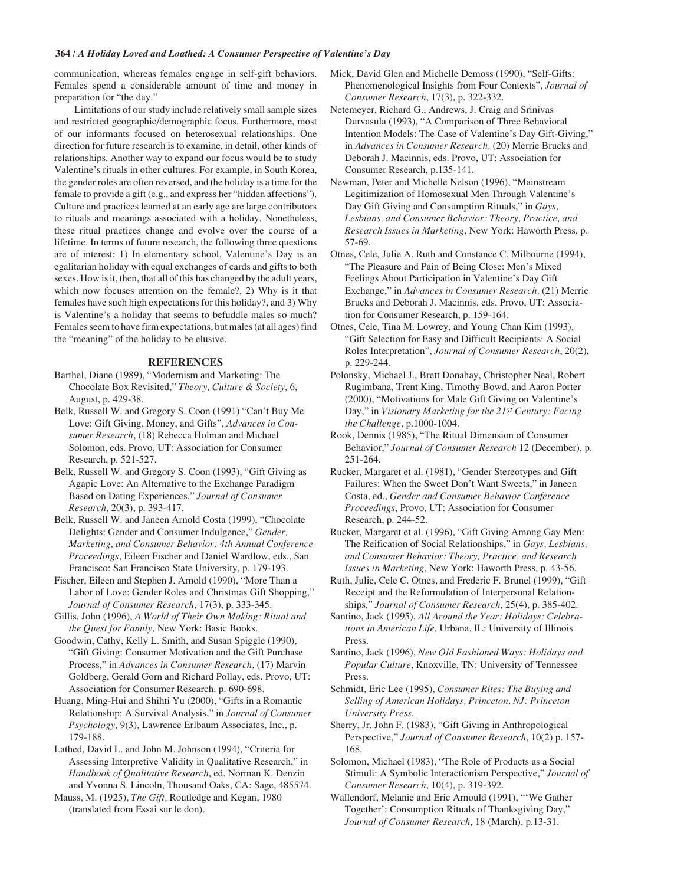# **364 /** *A Holiday Loved and Loathed: A Consumer Perspective of Valentine's Day*

communication, whereas females engage in self-gift behaviors. Females spend a considerable amount of time and money in preparation for "the day."

Limitations of our study include relatively small sample sizes and restricted geographic/demographic focus. Furthermore, most of our informants focused on heterosexual relationships. One direction for future research is to examine, in detail, other kinds of relationships. Another way to expand our focus would be to study Valentine's rituals in other cultures. For example, in South Korea, the gender roles are often reversed, and the holiday is a time for the female to provide a gift (e.g., and express her "hidden affections"). Culture and practices learned at an early age are large contributors to rituals and meanings associated with a holiday. Nonetheless, these ritual practices change and evolve over the course of a lifetime. In terms of future research, the following three questions are of interest: 1) In elementary school, Valentine's Day is an egalitarian holiday with equal exchanges of cards and gifts to both sexes. How is it, then, that all of this has changed by the adult years, which now focuses attention on the female?, 2) Why is it that females have such high expectations for this holiday?, and 3) Why is Valentine's a holiday that seems to befuddle males so much? Females seem to have firm expectations, but males (at all ages) find the "meaning" of the holiday to be elusive.

## **REFERENCES**

Barthel, Diane (1989), "Modernism and Marketing: The Chocolate Box Revisited," *Theory, Culture & Society*, 6, August, p. 429-38.

Belk, Russell W. and Gregory S. Coon (1991) "Can't Buy Me Love: Gift Giving, Money, and Gifts", *Advances in Consumer Research*, (18) Rebecca Holman and Michael Solomon, eds. Provo, UT: Association for Consumer Research, p. 521-527.

Belk, Russell W. and Gregory S. Coon (1993), "Gift Giving as Agapic Love: An Alternative to the Exchange Paradigm Based on Dating Experiences," *Journal of Consumer Research*, 20(3), p. 393-417.

Belk, Russell W. and Janeen Arnold Costa (1999), "Chocolate Delights: Gender and Consumer Indulgence," *Gender, Marketing, and Consumer Behavior: 4th Annual Conference Proceedings*, Eileen Fischer and Daniel Wardlow, eds., San Francisco: San Francisco State University, p. 179-193.

Fischer, Eileen and Stephen J. Arnold (1990), "More Than a Labor of Love: Gender Roles and Christmas Gift Shopping," *Journal of Consumer Research*, 17(3), p. 333-345.

Gillis, John (1996), *A World of Their Own Making: Ritual and the Quest for Family*, New York: Basic Books.

Goodwin, Cathy, Kelly L. Smith, and Susan Spiggle (1990), "Gift Giving: Consumer Motivation and the Gift Purchase Process," in *Advances in Consumer Research,* (17) Marvin Goldberg, Gerald Gorn and Richard Pollay, eds. Provo, UT: Association for Consumer Research. p. 690-698.

Huang, Ming-Hui and Shihti Yu (2000), "Gifts in a Romantic Relationship: A Survival Analysis," in *Journal of Consumer Psychology,* 9(3), Lawrence Erlbaum Associates, Inc., p. 179-188.

Lathed, David L. and John M. Johnson (1994), "Criteria for Assessing Interpretive Validity in Qualitative Research," in *Handbook of Qualitative Research*, ed. Norman K. Denzin and Yvonna S. Lincoln, Thousand Oaks, CA: Sage, 485574.

Mauss, M. (1925), *The Gift,* Routledge and Kegan, 1980 (translated from Essai sur le don).

Mick, David Glen and Michelle Demoss (1990), "Self-Gifts: Phenomenological Insights from Four Contexts", *Journal of Consumer Research*, 17(3), p. 322-332.

Netemeyer, Richard G., Andrews, J. Craig and Srinivas Durvasula (1993), "A Comparison of Three Behavioral Intention Models: The Case of Valentine's Day Gift-Giving," in *Advances in Consumer Research,* (20) Merrie Brucks and Deborah J. Macinnis, eds. Provo, UT: Association for Consumer Research, p.135-141.

Newman, Peter and Michelle Nelson (1996), "Mainstream Legitimization of Homosexual Men Through Valentine's Day Gift Giving and Consumption Rituals," in *Gays, Lesbians, and Consumer Behavior: Theory, Practice, and Research Issues in Marketing*, New York: Haworth Press, p. 57-69.

Otnes, Cele, Julie A. Ruth and Constance C. Milbourne (1994), "The Pleasure and Pain of Being Close: Men's Mixed Feelings About Participation in Valentine's Day Gift Exchange," in *Advances in Consumer Research,* (21) Merrie Brucks and Deborah J. Macinnis, eds. Provo, UT: Association for Consumer Research, p. 159-164.

Otnes, Cele, Tina M. Lowrey, and Young Chan Kim (1993), "Gift Selection for Easy and Difficult Recipients: A Social Roles Interpretation", *Journal of Consumer Research*, 20(2), p. 229-244.

Polonsky, Michael J., Brett Donahay, Christopher Neal, Robert Rugimbana, Trent King, Timothy Bowd, and Aaron Porter (2000), "Motivations for Male Gift Giving on Valentine's Day," in *Visionary Marketing for the 21st Century: Facing the Challenge,* p.1000-1004.

Rook, Dennis (1985), "The Ritual Dimension of Consumer Behavior," *Journal of Consumer Research* 12 (December), p. 251-264.

- Rucker, Margaret et al. (1981), "Gender Stereotypes and Gift Failures: When the Sweet Don't Want Sweets," in Janeen Costa, ed., *Gender and Consumer Behavior Conference Proceedings*, Provo, UT: Association for Consumer Research, p. 244-52.
- Rucker, Margaret et al. (1996), "Gift Giving Among Gay Men: The Reification of Social Relationships," in *Gays, Lesbians, and Consumer Behavior: Theory, Practice, and Research Issues in Marketing*, New York: Haworth Press, p. 43-56.

Ruth, Julie, Cele C. Otnes, and Frederic F. Brunel (1999), "Gift Receipt and the Reformulation of Interpersonal Relationships," *Journal of Consumer Research*, 25(4), p. 385-402.

Santino, Jack (1995), *All Around the Year: Holidays: Celebrations in American Life*, Urbana, IL: University of Illinois Press.

Santino, Jack (1996), *New Old Fashioned Ways: Holidays and Popular Culture*, Knoxville, TN: University of Tennessee Press.

Schmidt, Eric Lee (1995), *Consumer Rites: The Buying and Selling of American Holidays, Princeton, NJ: Princeton University Press*.

Sherry, Jr. John F. (1983), "Gift Giving in Anthropological Perspective," *Journal of Consumer Research*, 10(2) p. 157- 168.

Solomon, Michael (1983), "The Role of Products as a Social Stimuli: A Symbolic Interactionism Perspective," *Journal of Consumer Research*, 10(4), p. 319-392.

Wallendorf, Melanie and Eric Arnould (1991), "'We Gather Together': Consumption Rituals of Thanksgiving Day," *Journal of Consumer Research*, 18 (March), p.13-31.